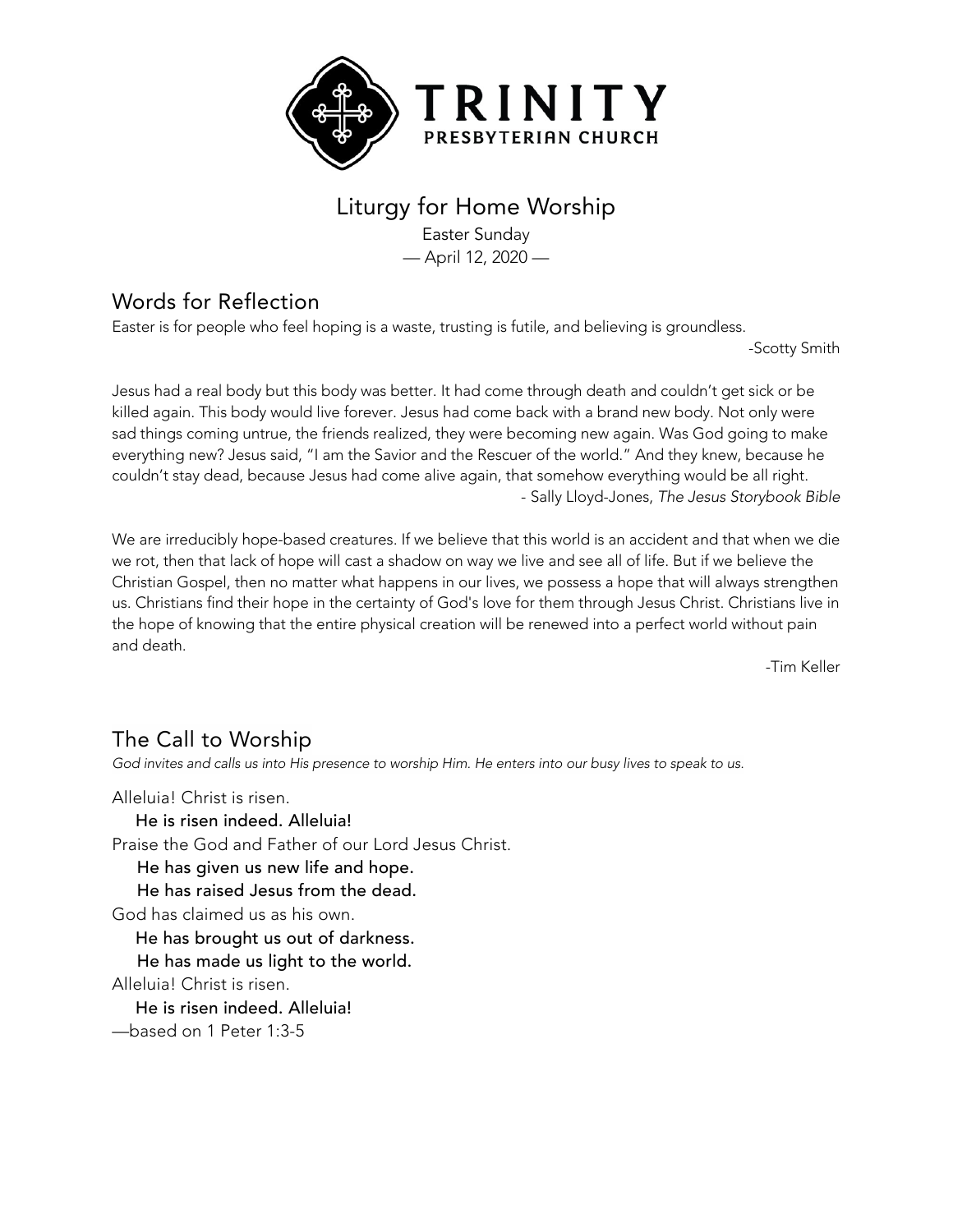

# Liturgy for Home Worship

Easter Sunday — April 12, 2020 —

# Words for Reflection

Easter is for people who feel hoping is a waste, trusting is futile, and believing is groundless.

-Scotty Smith

Jesus had a real body but this body was better. It had come through death and couldn't get sick or be killed again. This body would live forever. Jesus had come back with a brand new body. Not only were sad things coming untrue, the friends realized, they were becoming new again. Was God going to make everything new? Jesus said, "I am the Savior and the Rescuer of the world." And they knew, because he couldn't stay dead, because Jesus had come alive again, that somehow everything would be all right. - Sally Lloyd-Jones, *The Jesus Storybook Bible*

We are irreducibly hope-based creatures. If we believe that this world is an accident and that when we die we rot, then that lack of hope will cast a shadow on way we live and see all of life. But if we believe the Christian Gospel, then no matter what happens in our lives, we possess a hope that will always strengthen us. Christians find their hope in the certainty of God's love for them through Jesus Christ. Christians live in the hope of knowing that the entire physical creation will be renewed into a perfect world without pain and death.

-Tim Keller

# The Call to Worship

God invites and calls us into His presence to worship Him. He enters into our busy lives to speak to us.

Alleluia! Christ is risen. He is risen indeed. Alleluia! Praise the God and Father of our Lord Jesus Christ. He has given us new life and hope. He has raised Jesus from the dead. God has claimed us as his own. He has brought us out of darkness. He has made us light to the world. Alleluia! Christ is risen. He is risen indeed. Alleluia! —based on 1 Peter 1:3-5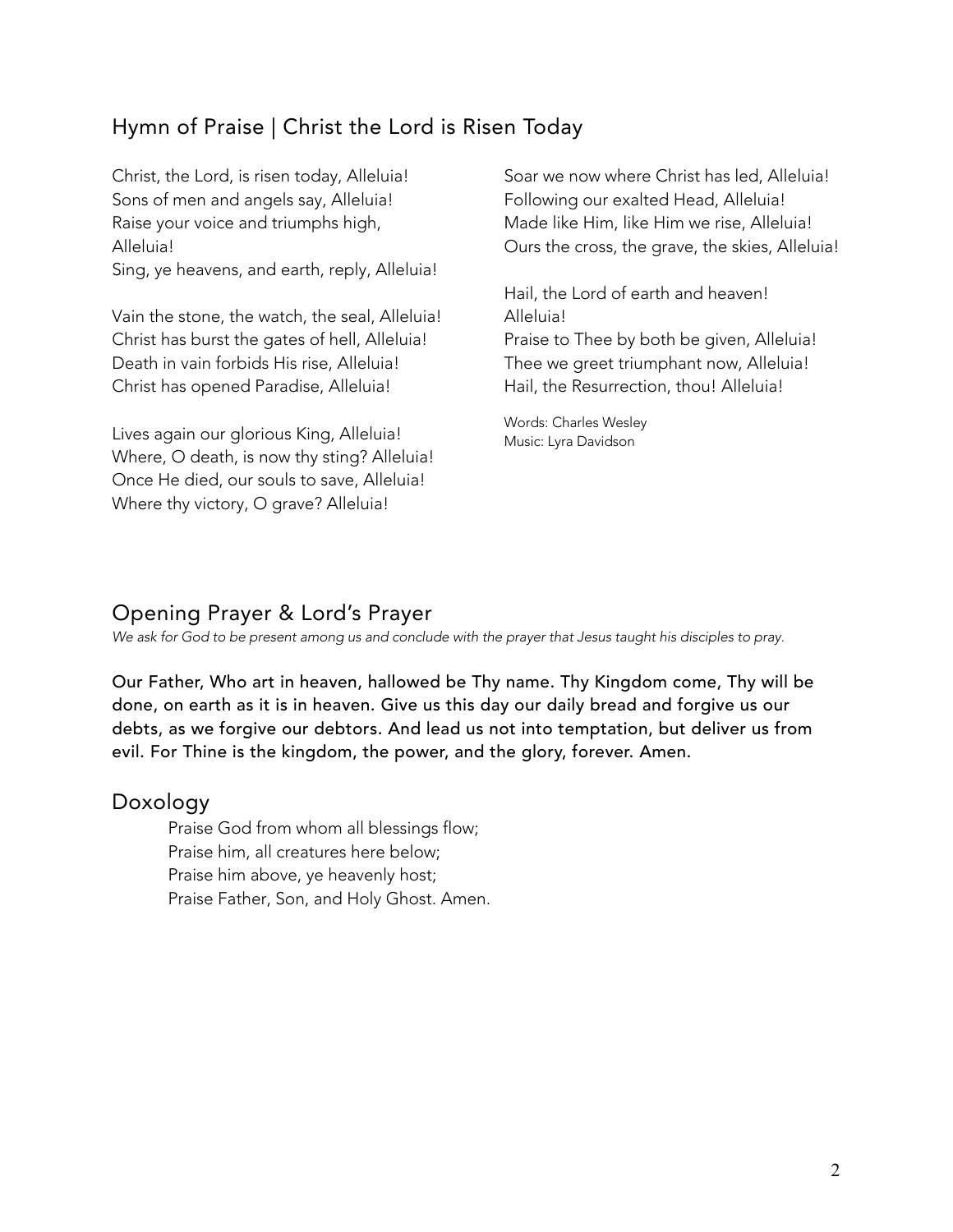# Hymn of Praise | Christ the Lord is Risen Today

Christ, the Lord, is risen today, Alleluia! Sons of men and angels say, Alleluia! Raise your voice and triumphs high, Alleluia! Sing, ye heavens, and earth, reply, Alleluia!

Vain the stone, the watch, the seal, Alleluia! Christ has burst the gates of hell, Alleluia! Death in vain forbids His rise, Alleluia! Christ has opened Paradise, Alleluia!

Lives again our glorious King, Alleluia! Where, O death, is now thy sting? Alleluia! Once He died, our souls to save, Alleluia! Where thy victory, O grave? Alleluia!

Soar we now where Christ has led, Alleluia! Following our exalted Head, Alleluia! Made like Him, like Him we rise, Alleluia! Ours the cross, the grave, the skies, Alleluia!

Hail, the Lord of earth and heaven! Alleluia! Praise to Thee by both be given, Alleluia!

Thee we greet triumphant now, Alleluia! Hail, the Resurrection, thou! Alleluia!

Words: Charles Wesley Music: Lyra Davidson

#### Opening Prayer & Lord's Prayer

*We ask for God to be present among us and conclude with the prayer that Jesus taught his disciples to pray.*

Our Father, Who art in heaven, hallowed be Thy name. Thy Kingdom come, Thy will be done, on earth as it is in heaven. Give us this day our daily bread and forgive us our debts, as we forgive our debtors. And lead us not into temptation, but deliver us from evil. For Thine is the kingdom, the power, and the glory, forever. Amen.

### Doxology

Praise God from whom all blessings flow; Praise him, all creatures here below; Praise him above, ye heavenly host; Praise Father, Son, and Holy Ghost. Amen.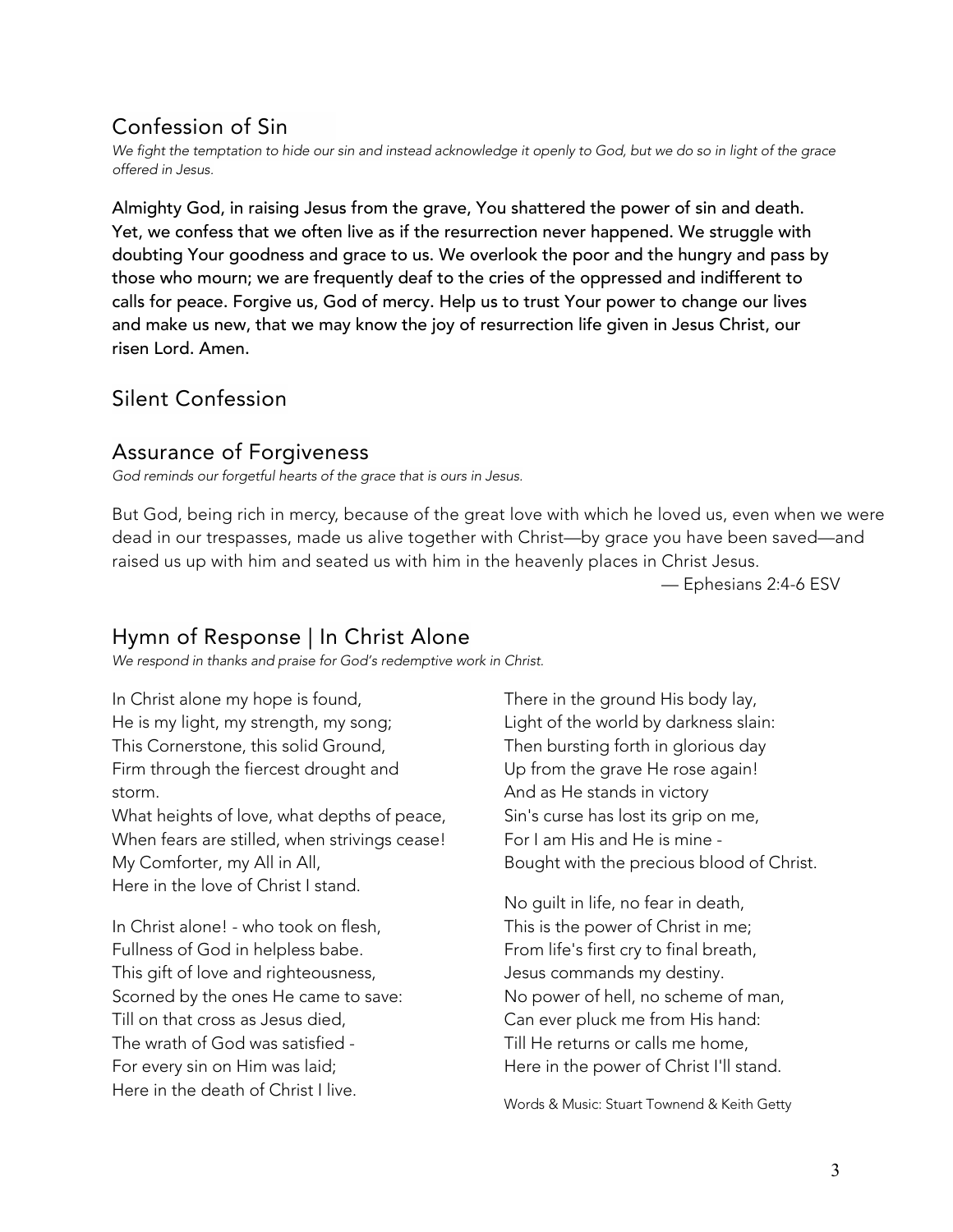# Confession of Sin

We fight the temptation to hide our sin and instead acknowledge it openly to God, but we do so in light of the grace *offered in Jesus.*

Almighty God, in raising Jesus from the grave, You shattered the power of sin and death. Yet, we confess that we often live as if the resurrection never happened. We struggle with doubting Your goodness and grace to us. We overlook the poor and the hungry and pass by those who mourn; we are frequently deaf to the cries of the oppressed and indifferent to calls for peace. Forgive us, God of mercy. Help us to trust Your power to change our lives and make us new, that we may know the joy of resurrection life given in Jesus Christ, our risen Lord. Amen.

## Silent Confession

### Assurance of Forgiveness

*God reminds our forgetful hearts of the grace that is ours in Jesus.*

But God, being rich in mercy, because of the great love with which he loved us, even when we were dead in our trespasses, made us alive together with Christ—by grace you have been saved—and raised us up with him and seated us with him in the heavenly places in Christ Jesus. — Ephesians 2:4-6 ESV

## Hymn of Response | In Christ Alone

*We respond in thanks and praise for God's redemptive work in Christ.*

In Christ alone my hope is found, He is my light, my strength, my song; This Cornerstone, this solid Ground, Firm through the fiercest drought and storm.

What heights of love, what depths of peace, When fears are stilled, when strivings cease! My Comforter, my All in All, Here in the love of Christ I stand.

In Christ alone! - who took on flesh, Fullness of God in helpless babe. This gift of love and righteousness, Scorned by the ones He came to save: Till on that cross as Jesus died, The wrath of God was satisfied - For every sin on Him was laid; Here in the death of Christ I live.

There in the ground His body lay, Light of the world by darkness slain: Then bursting forth in glorious day Up from the grave He rose again! And as He stands in victory Sin's curse has lost its grip on me, For I am His and He is mine - Bought with the precious blood of Christ.

No guilt in life, no fear in death, This is the power of Christ in me; From life's first cry to final breath, Jesus commands my destiny. No power of hell, no scheme of man, Can ever pluck me from His hand: Till He returns or calls me home, Here in the power of Christ I'll stand.

Words & Music: Stuart Townend & Keith Getty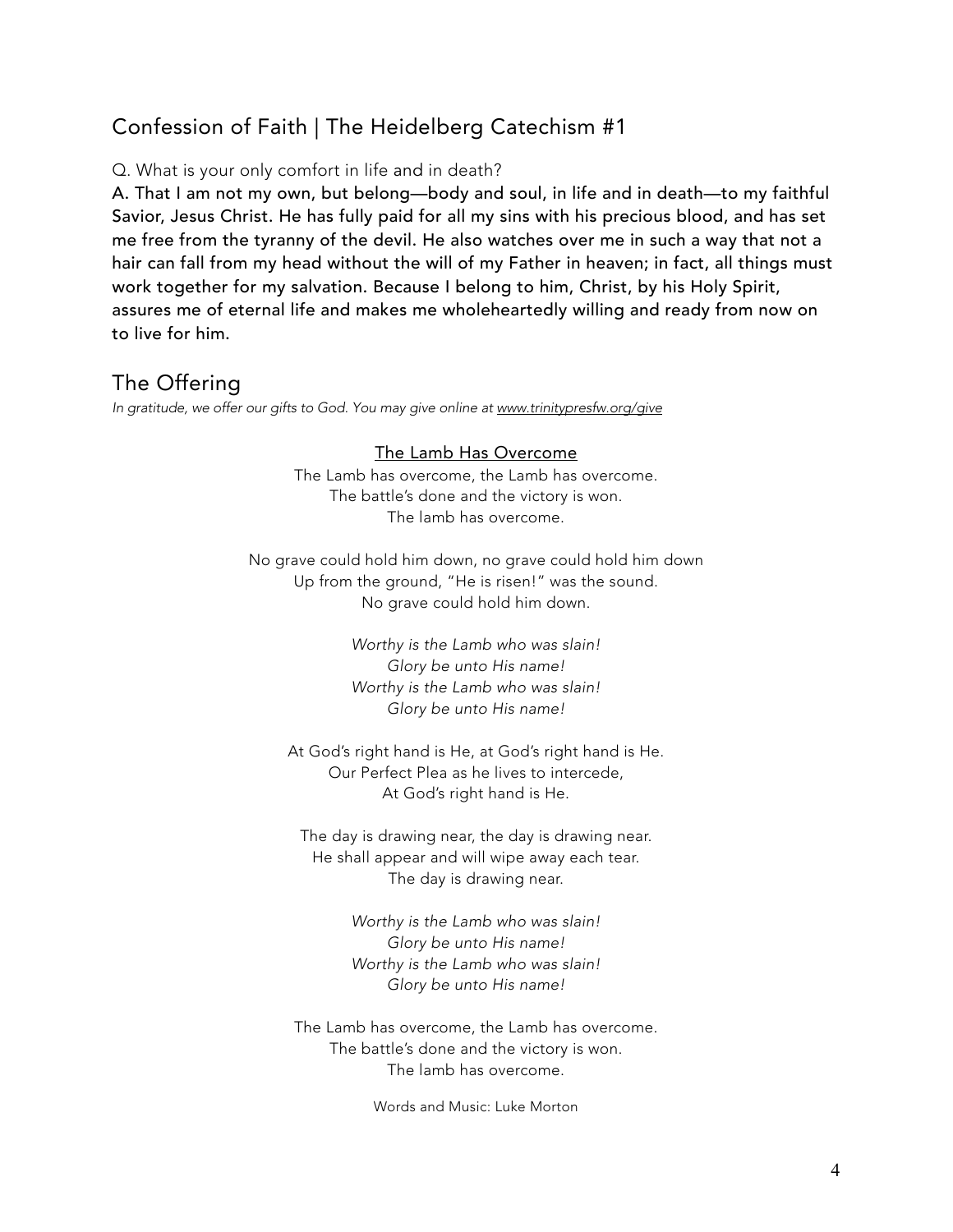# Confession of Faith | The Heidelberg Catechism #1

Q. What is your only comfort in life and in death?

A. That I am not my own, but belong—body and soul, in life and in death—to my faithful Savior, Jesus Christ. He has fully paid for all my sins with his precious blood, and has set me free from the tyranny of the devil. He also watches over me in such a way that not a hair can fall from my head without the will of my Father in heaven; in fact, all things must work together for my salvation. Because I belong to him, Christ, by his Holy Spirit, assures me of eternal life and makes me wholeheartedly willing and ready from now on to live for him.

# The Offering

*In gratitude, we offer our gifts to God. You may give online at www.trinitypresfw.org/give*

#### The Lamb Has Overcome

The Lamb has overcome, the Lamb has overcome. The battle's done and the victory is won. The lamb has overcome.

No grave could hold him down, no grave could hold him down Up from the ground, "He is risen!" was the sound. No grave could hold him down.

> *Worthy is the Lamb who was slain! Glory be unto His name! Worthy is the Lamb who was slain! Glory be unto His name!*

At God's right hand is He, at God's right hand is He. Our Perfect Plea as he lives to intercede, At God's right hand is He.

The day is drawing near, the day is drawing near. He shall appear and will wipe away each tear. The day is drawing near.

> *Worthy is the Lamb who was slain! Glory be unto His name! Worthy is the Lamb who was slain! Glory be unto His name!*

The Lamb has overcome, the Lamb has overcome. The battle's done and the victory is won. The lamb has overcome.

Words and Music: Luke Morton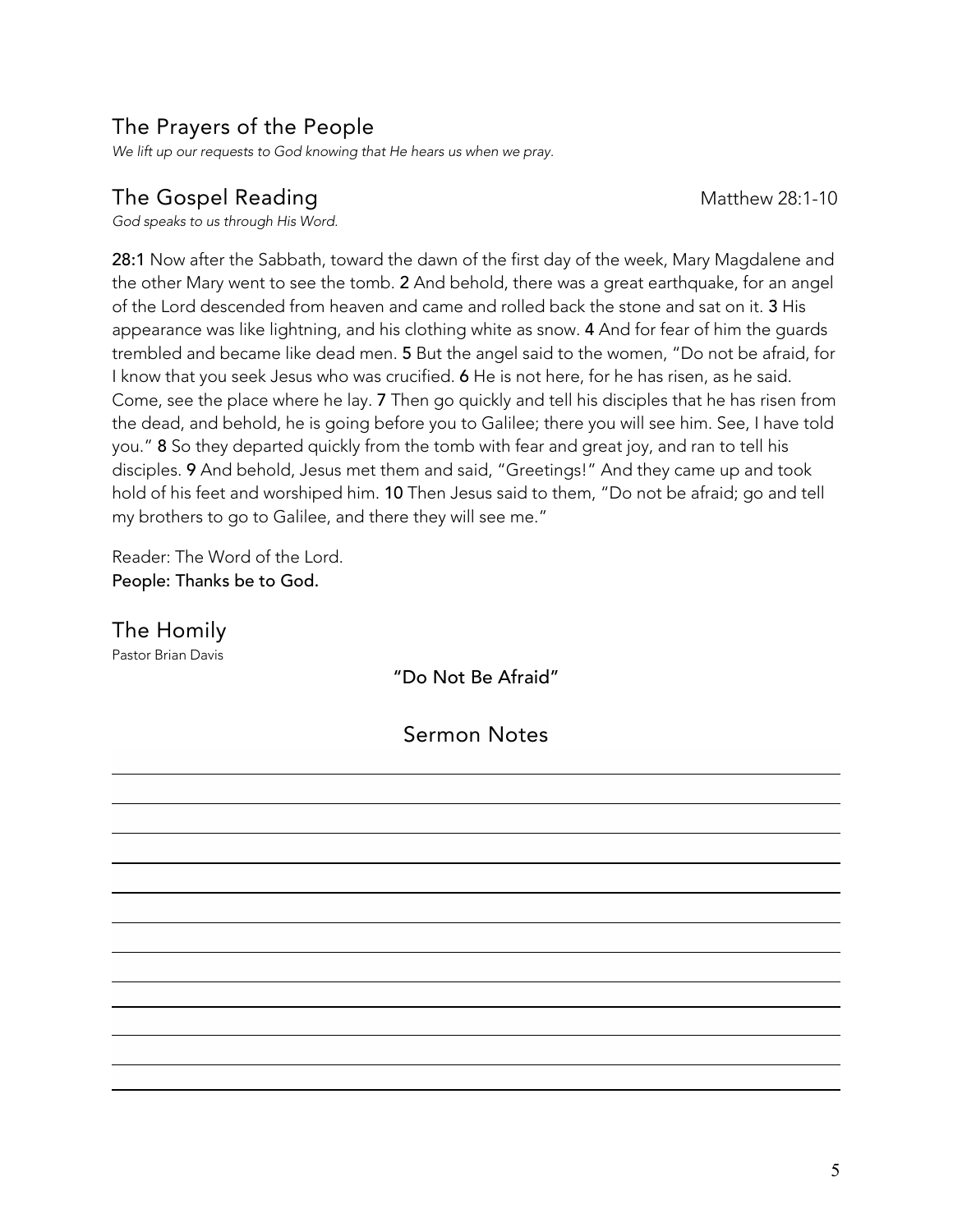# The Prayers of the People

*We lift up our requests to God knowing that He hears us when we pray.*

# The Gospel Reading Matthew 28:1-10

*God speaks to us through His Word.*

28:1 Now after the Sabbath, toward the dawn of the first day of the week, Mary Magdalene and the other Mary went to see the tomb. 2 And behold, there was a great earthquake, for an angel of the Lord descended from heaven and came and rolled back the stone and sat on it. 3 His appearance was like lightning, and his clothing white as snow. 4 And for fear of him the guards trembled and became like dead men. 5 But the angel said to the women, "Do not be afraid, for I know that you seek Jesus who was crucified. 6 He is not here, for he has risen, as he said. Come, see the place where he lay. 7 Then go quickly and tell his disciples that he has risen from the dead, and behold, he is going before you to Galilee; there you will see him. See, I have told you." 8 So they departed quickly from the tomb with fear and great joy, and ran to tell his disciples. 9 And behold, Jesus met them and said, "Greetings!" And they came up and took hold of his feet and worshiped him. 10 Then Jesus said to them, "Do not be afraid; go and tell my brothers to go to Galilee, and there they will see me."

Reader: The Word of the Lord. People: Thanks be to God.

# The Homily

Pastor Brian Davis

"Do Not Be Afraid"

# Sermon Notes